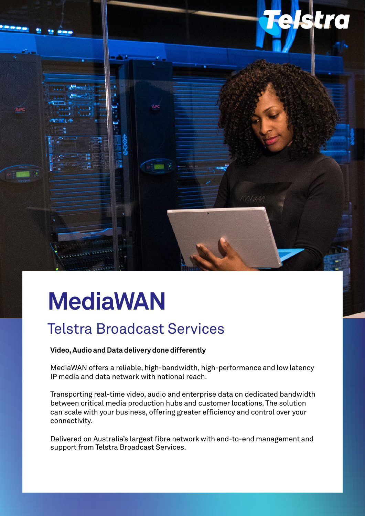

# **MediaWAN**

# Telstra Broadcast Services

### **Video, Audio and Data delivery done differently**

MediaWAN offers a reliable, high-bandwidth, high-performance and low latency IP media and data network with national reach.

Transporting real-time video, audio and enterprise data on dedicated bandwidth between critical media production hubs and customer locations. The solution can scale with your business, offering greater efficiency and control over your connectivity.

Delivered on Australia's largest fibre network with end-to-end management and support from Telstra Broadcast Services.